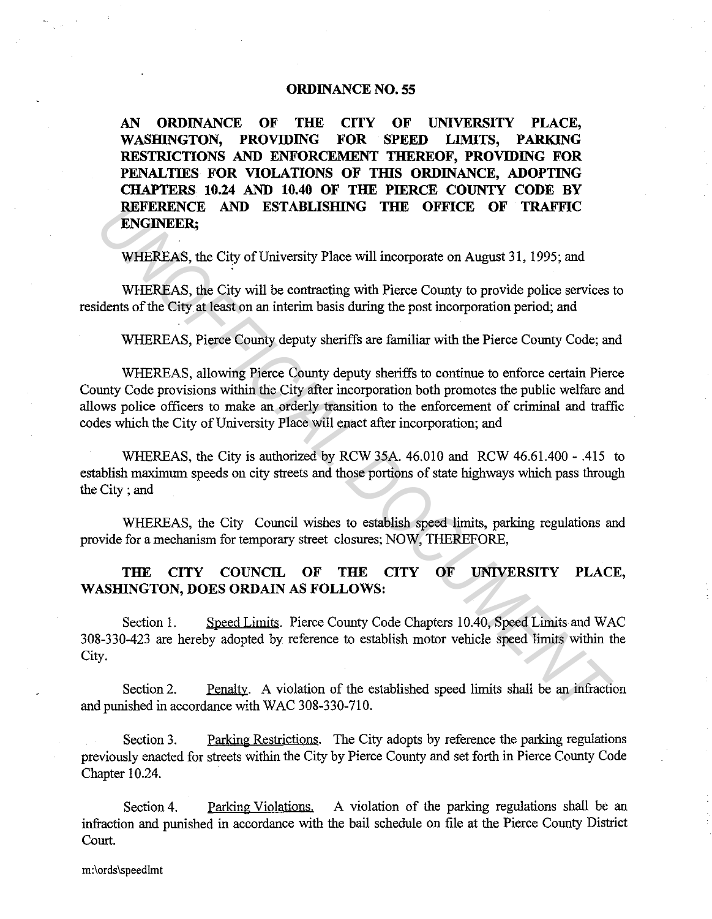## **ORDINANCE NO. 55**

**AN ORDINANCE OF THE CITY OF UNIVERSITY PLACE, WASHINGTON, PROVIDING FOR SPEED LIMITS, PARKING RESTRICTIONS AND ENFORCEMENT THEREOF, PROVIDING FOR**  PENALTIES FOR VIOLATIONS OF THIS ORDINANCE, ADOPTING **CHAPTERS 10.24 AND 10.40 OF THE PIERCE COUNTY CODE BY REFERENCE AND ESTABLISHING THE OFFICE OF TRAFFIC ENGINEER;** 

WHEREAS, the City of University Place will incorporate on August 31, 1995; and

WHEREAS, the City will be contracting with Pierce County to provide police services to residents of the City at least on an interim basis during the post incorporation period; and

WHEREAS, Pierce County deputy sheriffs are familiar with the Pierce County Code; and

WHEREAS, allowing Pierce County deputy sheriffs to continue to enforce certain Pierce County Code provisions within the City after incorporation both promotes the public welfare and allows police officers to make an orderly transition to the enforcement of criminal and traffic codes which the City of University Place will enact after incorporation; and **EXERCIATE AND ESTABLISHING THE OFFICE OF TRAFFIC<br>
ENGINEER,<br>
WHEREAS, the City of University Place will incorporate on August 31, 1995; and<br>
WHEREAS, the City of University Place will incorporate on August 31, 1995; and<br>** 

WHEREAS, the City is authorized by RCW 35A. 46.010 and RCW 46.61.400 - .415 to establish maximum speeds on city streets and those portions of state highways which pass through the City ; and

WHEREAS, the City Council wishes to establish speed limits, parking regulations and provide for a mechanism for temporary street closures; NOW, THEREFORE,

## **THE CITY COUNCIL OF THE CITY OF UNIVERSITY PLACE,**  WASHINGTON, DOES ORDAIN AS FOLLOWS:

Section 1. Speed Limits. Pierce County Code Chapters 10.40, Speed Limits and WAC 308-330-423 are hereby adopted by reference to establish motor vehicle speed limits within the City.

Section 2. Penalty. A violation of the established speed limits shall be an infraction and punished in accordance with WAC 308-330-710.

Section 3. Parking Restrictions. The City adopts by reference the parking regulations previously enacted for streets within the City by Pierce County and set forth in Pierce County Code Chapter 10.24.

Section 4. Parking Violations. A violation of the parking regulations shall be an infraction and punished in accordance with the bail schedule on file at the Pierce County District Court.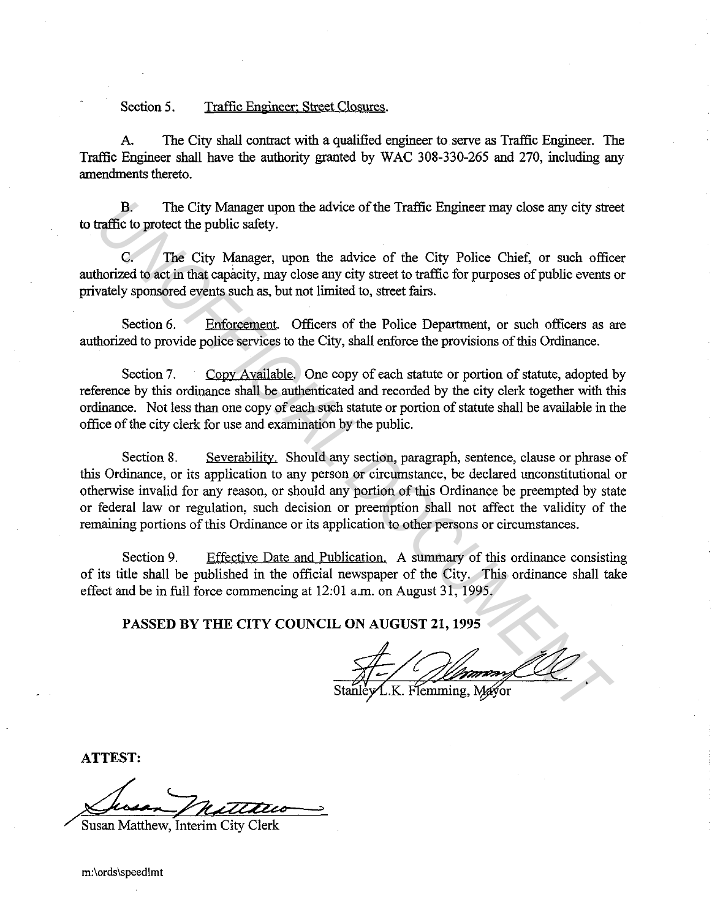Section 5. Traffic Engineer: Street Closures.

A. The City shall contract with a qualified engineer to serve as Traffic Engineer. The Traffic Engineer shall have the authority granted by WAC 308-330-265 and 270, including any amendments thereto.

B. The City Manager upon the advice of the Traffic Engineer may close any city street to traffic to protect the public safety.

C. The City Manager, upon the advice of the City Police Chief, or such officer authorized to act in that capacity, may close any city street to traffic for purposes of public events or privately sponsored events such as, but not limited to, street fairs.

Section 6. Enforcement. Officers of the Police Department, or such officers as are authorized to provide police services to the City, shall enforce the provisions of this Ordinance.

Section 7. Copy Available. One copy of each statute or portion of statute, adopted by reference by this ordinance shall be authenticated and recorded by the city clerk together with this ordinance. Not less than one copy of each such statute or portion of statute shall be available in the office of the city clerk for use and examination by the public.

Section 8. Severability. Should any section, paragraph, sentence, clause or phrase of this Ordinance, or its application to any person or circumstance, be declared unconstitutional or otherwise invalid for any reason, or should any portion of this Ordinance be preempted by state or federal law or regulation, such decision or preemption shall not affect the validity of the remaining portions of this Ordinance or its application to other persons or circumstances. **B**<br>**B** The City Manager upon the advice of the Traffic Engineer may close any city stead<br>fifte to protect the public safety.<br>Complement the control of the City Police Chief, or such office<br>for the City Police Chief, or su

Section 9. Effective Date and Publication. A summary of this ordinance consisting of its title shall be published in the official newspaper of the City. This ordinance shall take effect and be in full force commencing at 12:01 a.m. on August 31, 1995.

PASSED BY THE CITY COUNCIL ON AUGUST 21, 1995

ATTEST:

Susan Matthew, Interim City Clerk

m:\ords\speedlmt